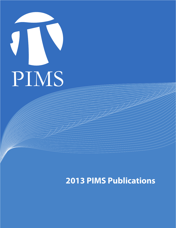

## **2013 PIMS Publications**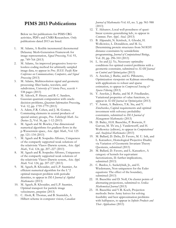## **PIMS 2013 Publications**

Below we list publications for PIMS CRG activities, PDFs and CNRS Researchers. Only publications dated 2013 are listed.

- 1. M. Adams, A flexible incremental/decremental Delaunay Mesh-Generation Framework for image representation, *Signal Processing*, Vol. 93, pp. 749-764 (2013)
- 2. M. Adams, An improved progressive lossy-tolossless coding method for arbitrarily sampled image data, to appear in *Proc. IEEE Pacific Rim Conference on Communications, Computers, and Signal Processing* (2013)
- 3. M. Adams, Multiresolution signal and geometry processing: filter banks, wavelets, and subdivision, *University of Victoria Press*, xxxviii + 538 pages (2013)
- 4. M. Adcock, P. Høyer, and B. C. Sanders, Gaussian quantum computation with oracledecision problems, *Quantum Information Processing***,**  Vol. 12, pp. 1759-1779 (2013)
- 5. A. Adem, F.R. Cohen, and J. M. Gomez, Commuting elements in central products of special unitary groups, *Proc. Edinburgh Math. Soc.*  (Series 2), Vol. 56, pp. 1-12 (2013)
- 6. M. Agueh and M. Bowles, One dimensional numerical algorithms for gradient flows in the p-Wasserstein space, *Acta Appl. Math*., Vol. 125 pp. 121–134 (2013)
- 7. M. Agueh and R. Sospedra-Alfonso, Uniqueness of the compactly supported weak solutions of the relativistic Vlasov-Darwin system, *Acta Appl. Math*., Vol. 124, pp. 207–227 (2013)
- 8. M. Agueh and R. Sospedra-Alfonso, Uniqueness of the compactly supported weak solutions of the relativistic Vlasov-Darwin system, *Acta Appl. Math*. Vol. 124, pp. 207-227 (2013)
- 9. M. Agueh, B. Khouider, and L.P. Saumier, An efficient numerical algorithm for the L^2 optimal transport problem with periodic densities, to appear in *IMA Journal of Applied Mathematics* (2013)
- 10. M. Agueh, B. Khouider, and L.P. Saumier, Optimal transport for particle image velocimetry, preprint (2013)
- 11. C. Aholt, R. Thomas, and B. Sturmfels, A Hilbert scheme in computer vision, *Canadian*

*Journal of Mathematics* Vol. 65, no. 5, pp. 961-988 (2013)

- 12. T. Akhunov, Local well-posedness of quasilinear systems generalizing kdv, to appear in *Commun. Pure Appl. Anal.* (2013)
- 13. B. Alipanahi, N. Krislock, A. Ghodsi, H. Wolkowicz, L. Donaldson, and M. Li, Determining protein structures from NOESY distance constraints by semidefinite programming, *Journal of Computational Biology*, Vol. 20, pp. 296-310 (2013)
- 14. L. An and J.J. Ye, Necessary optimality conditions for optimal control problems with a geometric constraint, submitted to *SIAM Journal on Control and Optimization* (2013)
- 15. A. Aravkin, J. Burke, and G. Pillonetto, Optimization viewpoint on Kalman smoothing, with applications to robust and sparse estimation, to appear in *Compressed Sensing & Sparse Filtering* (2013)
- 16. Y. Aravkin, J. Burke, and M. P. Friedlander, Variational properties of value functions, to appear in *SIAM Journal on Optimization* (2013)
- 17. V. Asimit, A. Badescu, T.K. Siu, and Y. Zinchenko, Capital requirements and optimal investment with solvency probability constraints, submitted to *IMA Journal of Management Mathematics* (2013)
- 18. D. Bailey, H.H. Bauschke, P. Borwein, F. Garvan, M. Th´era, J. Vanderwerff, and H. Wolkowicz (editors), to appear in *Computational and Analytical Mathematics* (2013)
- 19. M. Ballard, D. Deliu, D. Favero, M. U. Isik, and L. Katzarkov, Homological Projective Duality via Variation of Geometric Invariant Theory Quotients, submitted (2013)
- 20. M. Ballard, D. Favero, and L. Katzarkov, A category of kernels for equivariant factorizations, II: further implications, submitted (2013)
- 21. C. Bardos, L. Szekelyhidi, Jr., and E. Wiedemann, Non-uniqueness for the Euler equations: The effect of the boundary, submitted (2013)
- 22. H. Bauschke and D. Noll, On cluster points of alternating projections, submitted to *Serdica Mathemetical Journal* (2013)
- 23. H. Bauschke and V.R. Koch, Projection methods: Swiss Army knives for solving feasibility and best approximation problems with halfspaces, to appear in *Infinite Products and Their Applications* (2013)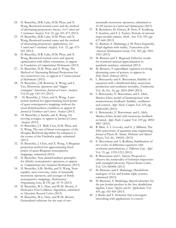- 24. H. Bauschke, D.R. Luke, H.M. Phan, and X. Wang, Restricted normal cones and the method of alternating projections: theory, *Set-Valued and Variational Analysis,* Vol. 21, pp. 431-473 (2013)
- 25. H. Bauschke, D.R. Luke, H.M. Phan, and X. Wang, Restricted normal cones and the method of alternating projections: applications, *Set-Valued and Variational Analysis,* Vol. 21, pp. 475- 501 (2013)
- 26. H. Bauschke, D.R. Luke, H.M. Phan, and X. Wang, Restricted normal cones and sparsity optimization with affine constraints, to appear in *Foundations of Computational Mathematics* (2013)
- 27. H. Bauschke, H.M. Phan, and X. Wang, The Method of Alternating Relaxed Projections for two nonconvex sets, to appear in *Vietnam Journal of Mathematics* (2013)
- 28. H. Bauschke, J.M. Borwein, X. Wang, and L. Yao, Monotone operators and "bigger conjugate" functions, *Journal of Convex Analysis,*  Vol 20, pp. 143-155 (2013)
- 29. H. Bauschke, J. Chen, and X. Wang, A projection method for approximating fixed points of quasi nonexpansive mappings without the usual demiclosedness condition, to appear in *Journal of Nonlinear and Convex Analysis* (2013)
- 30. H. Bauschke, J. Sarada, and X. Wang, On moving averages, to appear in *Journal of Convex Analysis* (2013)
- 31. H. Bauschke, J.Y. Bello Cruz, H.M. Phan, and X. Wang, The rate of linear convergence of the Douglas-Rachford algorithm for subspaces is the cosine of the Friedrichs angle, submitted (2013)
- 32. H. Bauschke, J. Chen, and X. Wang, A Bregman projection method for approximating fixed points of quasi-Bregman nonexpansive mappings, submitted (2013)
- 33. H. Bauschke, New demiclosedness principles for (firmly) nonexpansive operators, to appear in *Computational and Analytical Mathematics* (2013)
- 34. H. Bauschke, S.M. Moffat, and X. Wang, Near equality, near convexity, sums of maximally monotone operators, and averages of firmly nonexpansive mappings, *Mathematical Programming Series,* B 139, pp. 55-70 (2013)
- 35. H. Bauschke, W.L. Hare, and W.M. Moursi, A Derivative-Free CoMirror Algorithm, submitted to *Operations Research Letters* (2013)
- 36. H. Bauschke, W.L. Hare, and W.M. Moursi, Generalized solutions for the sum of two

maximally monotone operators, submitted to *SIAM Journal on Control and Optimization* (2013)

- 37. R. Benedetto, D. Ghioca, B. Hutz, P. Kurlberg, T. Scanlon, and T. J. Tucker, Periods of rational maps modulo primes, *Math. Ann*. Vol. 355, pp. 637-660 (2013)
- 38. G. Benkart, S. Madariaga, J. M. Perez-Izquierdo, Hopf algebras with triality, *Transactions of the American Mathematical Society,* Vol. 365, pp. 1001- 1023 (2013)
- 39. M. Bennett and Y. Bugeaud, Effective results for restricted rational approximation to quadratic numbers, submitted (2013)
- 40. M. Bennett, A superelliptic equation involving alternating sums of powers, to appear in *Publ. Math. Debrecen* (2013)
- 41. L. Berezansky and E. Braverman, Stability of equations with a distributed delay, monotone production and nonlinear mortality, *Nonlinearity,* Vol. 26, No. 10, pp. 2833-2849 (2013)
- 42. L. Berezansky, E. Braverman, and L. Idels, Mackey-Glass model of hematopoiesis with nonmonotone feedback: Stability, oscillation and control, *Appl. Math. Comput.* Vol. 219, pp. 6268-6283 (2013)
- 43. L. Berezansky, E. Braverman, and L. Idels, Mackey-Glass model with monotone feedback revisited, *Appl. Math. Comput*. Vol. 219 pp. 4892- 4907 (2013)
- 44. R. Blatt, A. I. Lvovsky, and G. J. Milburn, The 20th anniversary of quantum state engineering, *Journal of Physics B: Atomic, Molecular and Optical Physics,* Vol. 46., 100201 (2013)
- 45. E. Braverman and A. Rodkina, Stabilization of two cycles of difference equations with stochastic perturbations, *J. Difference Equ. Appl.*  Vol. 19, pp. 1192-1212 (2013)
- 46. B. Braverman and C. Simon, Proposal to observe the nonlocality of bohmian trajectories with entangled photons, *Physical Review Letters,*  Vol. 110, 060406 (2013)
- 47. M. Bremner and S. Madariaga, Dendriform analogues of Lie and Jordan triple systems, submitted (2013)
- 48. M. Bremner, S. Madariaga, Special identities for the pre-Jordan product in the free dendriform algebra, *Linear Algebra and Its Applications,* Vol. 439, pp. 435-454 (2013)
- 49. J. Burke and T. Hoheisel, Epi-convergent smoothing with applications to convex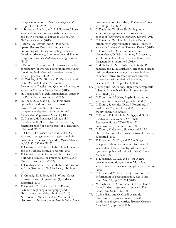composite functions, *Siam J. Optimization*, Vol. 23, pp. 1457-1479 (2013)

- 50. J. Burke, A. Aravkin, and G. Pillonetto, Linear system identification using stable spline kernels and PLQ penalties, to appear in *IEEE Conf. Decision and Control* (2013)
- 51. J. Burke, A. Aravkin, and G. Pillonetto, Sparse/Robust Estimation and Kalman Smoothing with Nonsmooth Log-Concave Densities: Modeling, Computation, and Theory, to appear in *Journal of Machine Learning Research* (2013)
- 52. J. Burke, T. Hoheisel, and C. Kanzow, Gradient consistency for integral-convolution smoothing functions, *Set-Valued and Variational Analysis*, Vol. 21, pp. 359-376 (2013)
- 53. M. Cariglia, G. W. Gibbons, D. Kubiznak, and C. M. Warnick, Hidden Symmetries of Dynamics in Classical and Quantum Physics, to appear in *Reviews in Modern Physics* (2013)
- 54. H. Chang and A. Karch, Entanglement Entropy for Probe Branes, submitted (2013)
- 55. D. Chao, D. Sun, and J.J. Ye, First order optimality conditions for mathematical programs with semidefinite cone complementarity constraints, submitted to *Mathematical Programming Series A* (2013)
- 56. G. Chapuy, M. Bousquet-Melou, and L. Preville-Ratelle, Tamari lattices and parking functions: proof of a conjecture of F. Bergeron, submitted (2013)
- 57. R. Choi, B. Fortescue, G. Gour, and B. C. Sanders, Entanglement sharing protocol via quantum error correcting codes, *Physical Review A,* Vol. 87, 032319 (2013)
- 58. T. Creutzig and A. Milas, False Theta Functions and the Verlinde formula, preprint (2013)
- 59. T. Creutzig and D. Ridout, Modular Data and Verlinde Formulae for Fractional Level WZW Models II, submitted (2013)
- 60. T. Creutzig and G. Hoehn, Mathieu Moonshine and the Geometry of K3 Surfaces, submitted (2013)
- 61. T. Creutzig, D. Ridout, and S. Wood, Coset Constructions of Logarithmic (1,p)-Models, submitted (2013)
- 62. T. Creutzig, Y. Hikida, and P. B. Ronne, Extended higher spin holography and Grassmannian models, submitted (2013)
- 63. N. Curien, L. Ménard, and G. Miermont, A view from infinity of the uniform infinite planar

quadrangulation, *Lat. Am. J. Probab. Math. Stat.*  Vol. 10, pp. 45-88 (2013)

- 64. C. Davis and W. Hare, Exploiting known structures to approximate normal cones, to appear in *Mathematics of Operations Research* (2013)
- 65. C. Davis and W. Hare, Exploiting Known Structures to Approximate Normal Cones, to appear in *Mathematics of Operations Research* (2013)
- 66. R. Davis, C. F. Doran, A. Gewiss, A. Novoseltsev, D. Skjorshammer, A. Syryczuk, and U. Whitcher, Short Tops and Semistable Degenerations, submitted (2013)
- 67. A. de la Lande, N. S. Babcock, J. Rezác, B. C. Sanders, and D. R. Salahub, Correction: Surface residues dynamically organize water bridges to enhance electron transfer between proteins, Proceedings of the National Academy of Sciences Vol. 110, pp. 1136 (2013)
- 68. J. Deng and Y.S. Wong, High-order symplectic schemes for stochastic Hamiltonian systems, submitted (2013)
- 69. C. Doran and M. Kerr, Algebraic cycles and local quantum cohomology, submitted (2013)
- 70. C. Doran, S. Mendez-Diez, J. Rosenberg, Tduality For Orientifolds and Twisted KRtheory, submitted (2013)
- 71. C. Doran, T. Hubsch, K. M. Iga, and G. D. Landweber, On General Off-Shell Representations of Worldline (1D) Supersymmetry, submitted (2013)
- 72. C. Doran, T. Gannon, H. Movasati, K. M. Shokri, Automorphic forms for triangle groups, submitted (2013)
- 73. T. Duchamp, G. Xie, and T. Yu, Single basepoint subdivision schemes for manifoldvalued data: time-symmetry without spacesymmetry, published online in *Found. Comput. Math.* (2013)
- 74. T. Duchamp, G. Xie, and T. Yu, A new proximity conditions for manifold-valued subdivision schemes, manuscript in preparation (2013)
- 75. C. Duval and M. J. Gotay, Quantization via deformation of prequantization, Rep. Math. Phys. Vol. 70, pp. 361-374 (2013)
- 76. M. Fazly and N. Ghoussoub, On the Henon-Lane-Emden conjecture, to appear in Disc. Cont. Dyn. Syst. A. (2013)
- 77. O. Friedland and O. Giladi, A simple observation on random matrices with continuous diagonal entries, *Electron. Commun. Prob*. Vol. 18, pp. 1-7 (2013)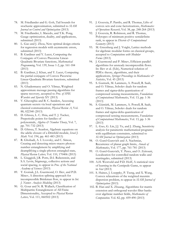- 78. M. Friedlander and G. Goh, Tail bounds for stochastic approximation, submitted to *SIAM Journal on Control and Optimization* (2013)
- 79. M. Friedlander, I. Macedo, and T.K. Pong, Gauge optimization, duality, and applications, submitted (2013)
- 80. L. Gao and J. Zhou, New optimal design criteria for regression models with asymmetric errors, submitted (2013)
- 81. B. Gardiner and Y. Lucet, Computing the Conjugate of Convex Piecewise Linear-Quadratic Bivariate functions, *Mathematical Programming,* Vol. 139, Issue 1-2, pp. 161-184 (2013)
- 82. B. Gardiner, J. Khan, and Y. Lucet, Computing the partial conjugate of Convex Piecewise Linear-Quadratic Bivariate functions, submitted (2013)
- 83. N. Ghadermarzy and O. Yilmaz, Weighted approximate message passing algorithms for sparse recovery, accepted to *Proc. of SPIE Wavelets and Sparsity* XV (2013)
- 84. V. Gheorghiu and B. C. Sanders, Accessing quantum secrets via local operations and classical communication, *Physical Review A*, Vol. 88, 022340 (2013)
- 85. D. Ghioca, L. C. Hsia, and T. J. Tucker, Preperiodic points for families of polynomials, *Algebra & Number Theory*, Vol. 7, pp. 701-732 (2013)
- 86. D. Ghioca, T. Scanlon, Algebraic equations on the adelic closure of a Drinfeld module, *Israel J. Math.* Vol. 194, pp. 461-483 (2013)
- 87. R. Ghobadi, A. I. Lvovsky, and C. Simon, Creating and detecting micro-macro photonnumber entanglement by amplifying and deamplifying a single-photon entangled state, *Physical Review Letters,* Vol. 110, 170406 (2013)
- 88. L. Giuggioli, J.R. Potts, D.I. Rubenstein, and S.A. Levin, Stigmergy, collective actions and social spacing, to appear in *Proc. of the National Academy of Sciences* (2013)
- 89. T. Gornak, J.L. Guermond, O. Iliev, and P.D. Minev, A direction splitting approach for incompressible Brinkman flow, to appear in *Int. J. Numer. Analysis Modeling* (2013)
- 90. G. Gour and N. R. Wallach, Classification of Multipartite Entanglement of All Finite Dimensionality, Accepted to *Physical Review Letters,* Vol. 111, 060502 (2013)
- 91. J. Gouveia, P. Parrilo, and R. Thomas, Lifts of convex sets and cone factorizations, *Mathematics of Operations Research*, Vol. 38, pp. 248-264 (2013)
- 92. J. Gouveia, R. Robinson, and R. Thomas, Polytopes of minimum positive semidefinite rank, to appear in *Discrete & Computational Geometry* (2013)
- 93. M. Greenberg and J. Voight, Lattice methods for algebraic modular forms on classical groups, accepted to *Computations with Modular Forms* (2013)
- 94. J. Guermond and P. Minev, Efficient parallel algorithms for unsteady incompressible flows. In: Iliev et al. (Eds), Numerical solution of PDEs: theory, algorithms, and their applications, *Springer Proceedings in Mathematics & Statistics*, Vol. 45 (2013)
- 95. S. Gunturk, M. Lammers, A. Powell, R. Saab, and O. Yilmaz, Sobolev duals for random frames and sigma-delta quantization of compressed sensing measurements, *Foundations of Computational Mathematics*, Vol. 13, pp. 1-36 (2013)
- 96. S. Güntürk, M. Lammers, A. Powell, R. Saab, and O. Yilmaz, Sobolev duals for random frames and sigma-delta quantization of compressed sensing measurements, *Foundations of Computational Mathematics*, Vol. 13, pp. 1-36 (2013)
- 97. L. Guo, G. Lin, J.J. Ye, and J. Zhang, Sensitivity analysis for parametric mathematical programs with equilibrium constraints, submitted to *SIAM Journal on Optimization* (2013)
- 98. O. Gurel-Gurevich and A. Nachmias, Recurrence of planar graph limits, *Annals of Mathematics*, Vol. 177, pp. 761-781 (2013)
- 99. O. Gurel-Gurevich, Y. Peres, and O. Zeitouni, Localization for controlled random walks and martingales, submitted (2013)
- 100. A.H. Westveld and P.D. Hoff, A statistical view of learning in the Centipede Game, to appear in *Stat* (2013)
- 101. S. Haines, J. Loeppky, P. Tseng, and X. Wang, Convex relaxations of the weighted maxmin dispersion problem, to appear in *SIAM Journal of Optimization* (2013)
- 102. B. Han and X. Zhuang, Algorithms for matrix extension and orthogonal wavelet filter banks over algebraic number fields, *Mathematics of Computation.* Vol. 82, pp. 459-490 (2013)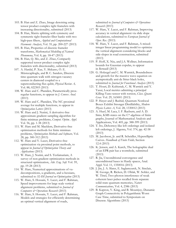- 103. B. Han and Z. Zhao, Image denoising using tensor product complex tight framelets with increasing directionality, submitted (2013)
- 104. B. Han, Matrix splitting with symmetry and symmetric tight framelet filter banks with two high-pass filters, *Applied and Computational Harmonic Analysis*, Vol. 35, pp. 200-227 (2013)
- 105. B. Han, Properties of discrete framelet transforms, *Mathematical Modelling of Natural Phenomena*, Vol. 8, pp. 18-47 (2013)
- 106. B. Han, Q. Mo, and Z. Zhao, Compactly supported tensor product complex tight framelets with directionality, submitted (2013)
- 107. A. Hardal, P. Xue, Y. Shikano, Ö. E. Müstecaplioglu, and B. C. Sanders, Discrete time quantum walk with nitrogen-vacancy centers in diamond coupled to a superconducting flux qubit, *Physical Review A,*  Vol. 88, 022303 (2013)
- 108. W. Hare and C. Planiden, Parametrically proxregular functions, to appear in *J. Convex Anal.* (2013)
- 109. W. Hare and C. Planiden, The NC-proximal average for multiple functions, to appear in *Optimization Letters* (2013)
- 110. W. Hare and J. Nutini, A derivative-free approximate gradient sampling algorithm for finite minimax problems, *Comput. Optim. Appl.* Vol. 56, pp. 1-38 (2013)
- 111. W. Hare and M. Macklem, Derivative-free optimization methods for finite minimax problems, *Optimization Methods and Software,* Vol. 28, pp. 300-312 (2013)
- 112. W. Hare and Y. Lucet, Derivative-free optimization via proximal point methods, to appear in *Journal of Optimization Theory and Applications* (2013)
- 113. W. Hare, J. Nutini, and S. Tesfamariam, A survey of non-gradient optimization methods in structural optimization, *Adv. Eng. Soft*. Vol. 59, pp. 19-28 (2013)
- 114. W. Hare, Numerical approximations of vudecompositions, u-gradients, and u-hessians, submitted to *SIAM Journal on Optimization* (2013)
- 115. W. Hare, S. Hossain, Y. Lucet, and F. Rahman, Speed improvements for large scale vertical alignment problems, submitted to *Journal of Computers & Operations Research* (2013)
- 116. W. Hare, S. Hossain, Y. Lucet, and F. Rahman, Models and strategies for efficiently determining an optimal vertical alignment of roads,

submitted to *Journal of Computers*  $\mathcal{O}$  *Operations Research* (2013)

- 117. W. Hare, Y. Lucet, and F. Rahman, Improving accuracy in vertical alignment via slide slope calculations, submitted to *European Journal of Oper. Res.* (2013)
- 118. W. Hare, Y. Lucet, and F. Rahman, A mixedinteger linear programming model to optimize the vertical alignment considering blocks and side-slopes in road construction, submitted (2013)
- 119. P. Hoff, X. Niu, and J.A. Wellner, Information bounds for Gaussian copulas, to appear in *Bernoulli* (2013)
- 120. G. Holzegel and C. M. Warnick, Boundedness and growth for the massive wave equation on asymptotically anti-de Sitter black holes, submitted to *Journal for Functional Analysis* (2013)
- 121. T. Houri, D. Kubiznak, C. M. Warnick and Y. Yasui, Local metrics admitting a principal Killing-Yano tensor with torsion, *Class. Quant. Grav*. Vol. 29, 165001 (2013)
- 122. P. Høyer and J. Rashid, Quantum Nonlocal Boxes Exhibit Stronger Distillability, *Modern Physics Letters A*, Vol. 28, 1330012 (2013)
- 123. A. Huef, M. Laca, I. F. Raeburn, and A. D. Sims, KMS states on the C\*-algebras of finite graphs, Journal of Mathematical Analysis and Applications, Vol. 405, pp. 388-399 (2013)
- 124. T. Ito, Dehornoy-like left orderings and isolated left orderings, J. Algenra, Vol. 374, pp. 42-58 (2013)
- 125. M. Jacobson, Jr. and R. Scheidler, Hyperelliptic Curves. *Handbook of Finite Fields,* Section 12.4 (2013)
- 126. K. Jensen, and A. Karch, The holographic dual of an EPR pair has a wormhole, submitted (2013)
- 127. R. Jia, Unconditional convergence and unconditional bases in Hardy spaces, Anal. Appl. Vol. 11, 1350016 (2013)
- 128. J. Jin, J. A. Slater, E. Saglamyurek, N. Sinclair, M. George, R. Ricken, D. Oblak, W. Sohler, and W. Tittel, Two-photon interference of weak coherent laser pulses recalled from separate solid-state quantum memories, *Nature Communications*, Vol. 4, 2386 (2013)
- 129. B. Kapron, V. King, and B. Mountjoy, Dunamic Graph Connectivity in Polygarithmic Worst Case Time, submitted to Symposium on Discrete Algorithms (2013)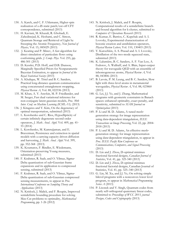- 130. A. Karch, and C. F. Uhlemann, Higher-spin realization of a dS static patch/cut-off CFT correspondence, submitted (2013)
- 131. H. Kaviani, M. Khazali, R. Ghobadi, E. Zahedinejad, K. Heshami, and C. Simon, Quantum Storage and Retrieval of Light by Sweeping the Atomic Frequency, *New Journal of Physics,* Vol. 15, 085029 (2013)
- 132. J. Keating and P. Minev, A fast algorithm for direct simulation of particulate flows using conforming grids. *J. Comp. Phys.* Vol. 255, pp. 486-501 (2013)
- 133. D. Kessler, P.D. Hoff, and D.B. Dunson, Marginally Specified Priors for Nonparametric Bayesian Estimation, to appear in *Journal of the Royal Statistical Society* (2013)
- 134. A. Khalique, W. Tittel and B. C. Sanders, Practical long-distance quantum communication using concatenated entanglement swapping, *Physical Review A,* Vol. 88, 022336 (2013)
- 135. M. Khan, A. Y. Aravkin, M. P. Friedlander, and M. Seeger, Fast dual variational inference for non-conjugate latent gaussian models, *Proc. 30th Inter. Conf. on Machine Learning (ICML-13),* (2013)
- 136. J. Kitagawa and Y. Kim, On the degeneracy of optimal transportation, submitted (2013)
- 137. L. Korobenko and C. Rios, Hypoellipticity of certain infinitely degenerate second order operators, *J. Math. Anal. Appl*. Vol. 409, pp. 41- 55 (2014)
- 138. L. Korobenko, M. Kamrujjaman, and E. Braverman, Persistence and extinction in spatial models with a carrying capacity driven diffusion and harvesting, *J. Math. Anal. Appl.* Vol. 399, pp. 352-368 (2013)
- 139. K. Koumatos, F. Rindler, E. Wiedemann, Orientation-preserving Young measures, submitted (2013)
- 140. F. Krahmer, R. Saab, and O. Yilmaz, Sigma-Delta quantization of sub-Gaussian frame expansions and its application to compressed sensing, submitted (2013)
- 141. F. Krahmer, R. Saab, and O. Yilmaz, Sigma-Delta quantization of sub-Gaussian compressed sensing measurements, to appear in *Proc. International Conference on Sampling Theory and Applications* (2013)
- 142. N. Krislock, J. Malick, and F. Roupin, Improved semidefinite bounding procedure for solving Max-Cut problems to optimality, *Mathematical Programming*, pp. 1-26 (2012)
- 143. N. Krislock, J. Malick, and F. Roupin, Computational results of a semidefinite branchand-bound algorithm for k-cluster, submitted to *Computers & Operations Research* (2013)
- 144. R. Kumar, E. Barrios, C. Kupchak and A. I. Lvovsky, Experimental characterization of bosonic creation and annihilation operators, *Physical Review Letters,* Vol. 110, 130403 (2013)
- 145. Y. Kurochkin, A. S. Prasad and A*.* I. Lvovsky, Distillation of the two-mode squeezed state, submitted (2013)
- 146. K. Lalumière, B. C. Sanders, A. F. Van Loo, A. Fedorov, A. Wallraff, and A. Blais, Input-output theory for waveguide QED with an ensemble of inhomogeneous atoms, *Physical Review A,* Vol. 88, 043806 (2013)
- 147. B. Lavoie, P. M. Leung, and B. C. Sanders, Slow light with three-level atoms in metamaterial waveguides, *Physical Review A*, Vol. 88, 023860 (2013)
- 148. G. Lei, J.J. Ye, and J. Zhang, Mathematical programs with geometric constraints in Banach spaces: enhanced optimality, exact penalty, and sensitivity, submitted to *SIAM Journal on Optimization* (2013)
- 149. P. Li and M. D. Adams, A tuned meshgeneration strategy for image representation using data-dependent triangulation, *IEEE Transactions on Image Processing*, Vol. 22, pp. 2004- 2018 (2013)
- 150. P. Li and M. D. Adams, An effective meshgeneration strategy for image representation using data-dependent triangulation, to appear in *Proc. IEEE Pacific Rim Conference on Communications, Computers, and Signal Processing*  (2013)
- 151. D. Lin and J. Zhou, D-optimal minimax fractional factorial designs, *Canadian Journal of Statistics*, Vol. 41, pp. 325-340 (2013)
- 152. D. Lin and J. Zhou, D-optimal minimax fractional factorial designs, Canadian Journal of Statistics, Vol. 41, pp. 325–340 (2013)
- 153. G. Lin, M. Xu, and J.J. Ye, On solving simple bilevel programs with a nonconvex lower level program, to appear in *Mathematical Programming Series A* (2013)
- 154. P. Lisonek and V. Singh, Quantum codes from nearly self-orthogonal quaternary linear codes, submitted to *Proceedings of WCC 2013, journal Designs, Codes and Cryptography* (2013)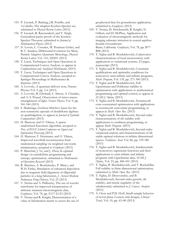- 155. P. Lisonek, P. Badziag, J.R. Portillo, and A.Cabello, The simplest Kochen-Specker set, submitted to *Physical Review Letters* (2013)
- 156. P. Lisonek, R. Raussendorf, and V. Singh, Generalized parity proofs of the Kochen-Specker Theorem, submitted to *Journal of Mathematical Physics* (2013)
- 157. N. Lovett, C. Crosnier, M. Perarnau-Llobet, and B. C. Sanders, Differential Evolution for Many-Particle Adaptive Quantum Metrology, *Physical Review Letters,* Vol. 110, 220501 (2013)
- 158. Y. Lucet, Techniques and Open Questions in Computational Convex Analysis, to appear in *Computational and Analytical Mathematics* (2013)
- 159. Y. Lucet, Techniques and Open Questions in Computational Convex Analysis, accepted to Springer Proceedings in Mathematics & Statistics (2013)
- 160. A. Lvovsky, A quantum delivery note, Nature Physics Vol. 9, pp. 5-6 (2013)
- 161. A. Lvovsky, R. Ghobadi, C. Simon, A. Chandra, and A. S. Prasad, Observation of micro-macro entanglement of light*, Nature Physics,* Vol. 9, pp. 541-544 (2013)
- 162. S. Madariaga, Grobner-Shirshov bases for the non-symmetric operads of dendriform algebras an quadrialgebras, to appear in *Journal of Symbolic Computations* (2013)
- 163. H. Mansour and O. Yilmaz, A sparse randomized Kaczmarz algorithm, accepted to *Proc. of IEEE Global Conference on Signal and Information Processing* (2013)
- 164. H. Mansour, F. Herrmann, and O. Yilmaz, Improved wavefield reconstruction from randomized sampling via weighted one-norm minimization, accepted to *Geophysics* (2013)
- 165. P. Marechal, J. Ye, and J. Zhou, K-optimal design via semidefinite programming and entropy optimization, submitted to *Mathematics of Operations Research* (2013)
- 166. R. Martinez, A. Roshchenko, P. Minev, and W.H. Finlay, Simulation of enhanced deposition due to magnetic field alignment of ellipsoidal particles in a lung bifurcation, *J. Aerosol Medicine Pulmonary Drug Delivery*, Vol. 25 (2013)
- 167. V. Nenna and A. Pidlisecky, The use of wavelet transforms for improved interpretation of airborne transient electromagnetic data*, Geophysics*, Vol. 78, pp. E117-E123 (2013)
- 168. V. Nenna and R. Knight, Demonstration of a value of information metric to assess the use of

geophysical data for groundwater application*,*  submitted to *Geophysics* (2013)

- 169. V. Nenna, D. Herckenrath, R. Knight, N. Odlum, and D. McPhee, Application and evaluation of electromagnetic methods for imaging saltwater intrusion in coastal aquifers: Seaside Groundwater Basin, California. *Geophysics*, Vol. 78, pp. B77- B88 (2013)
- 170. T. Nghia and B. Mordukhovich, Coderivative characterizations of local monotonicity with applications to variational systems, 23 pages, manuscript (2013)
- 171. T. Nghia and B. Mordukhovich, Constraint qualifications and optimality conditions for nonconvex semi-infinite and infinite programs, *Math. Program,* Vol. 139, pp. 271-300 (2013)
- 172. T. Nghia and B. Mordukhovich, Full Lipschitzian and Holderian stability in optimization with applications to mathematical programming and optimal control, to appear in *SIAM J. Optim*. (2013)
- 173. T. Nghia and B. Mordukhovich, Nonsmooth cone-constrained optimization with applications to nonsmooth semi-innite programming, to appear in *Math. Oper. Res*. (2013)
- 174. T. Nghia and B. Mordukhovich, Second-order characterizations of tilt stability with applications to nonlinear programming, to appear *Math. Program*. (2013)
- 175. T. Nghia and B. Mordukhovich, Second-order variational analysis and characterizations of tilt stable optimal solutions in infinite dimensional spaces, *Nonlinear Anal*. Vol. 86, pp. 159-180 (2013)
- 176. T. Nghia and B. Mordukhovich, Subdierentials of nonconvex supremum functions and their applications to semi-infinite and infinite programs with Lipschitzian data*, SIAM J. Optim*., Vol. 23, pp. 406-431 (2013)
- 177. T. Nghia, B. Mordukhovich, and T. Rockafellar, Full stability in finite-dimensional optimization, submitted to *Math. Oper. Res.* (2013)
- 178. T. Nghia, D. Drusvyatskiy, and B. Mordukhovich, Second-order growth, tilt stability, and metric regularity of the subdierential, submitted to *J. Convex Analysis* (2013)
- 179. A. Oron and P.D. Hoff, Small-sample behavior of novel phase I cancer trial designs, *Clinical Trials*, Vol. 10, pp. 63–80 (2013)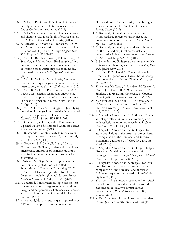- 180. J. Parks, C. David, and D.K. Huynh, One-level density of families of elliptic curves and the Ratios Conjectures, submitted (2013)
- 181. J. Parks, The average number of amicable pairs and aliquot cycles for a family of elliptic curves, Ph.D. Thesis, Concordia University (2013)
- 182. S. Peacock, M. Krkosek, S. Proboszcz, C. Orr, and M. A. Lewis, Cessation of a salmon decline with control of parasites, *Ecological Applications*, Vol. 23, pp 606-620 (2013)
- 183. J. Potts, G. Bastille-Rousseau, D.L. Murray, J. A. Schaefer, and M. A. Lewis, Predicting local and non-local effects of resources on animal space use using a mechanistic step-selection model, submitted to *Methods in Ecology and Evolution*  (2013)
- 184. J. Potts, K. Mokross, M. A. Lewis, A unifying framework for quantifying the nature of animal interactions, in revision for *Ecology Letters* (2013)
- 185. J. Potts, K. Mokross, P. C. Stouffer, and M. A. Lewis, Step selection techniques uncover the environmental predictors of space use patterns in flocks of Amazonian birds, in revision for *Ecology* (2013)
- 186. J. Potts, S. Harris, and L. Giuggioli, Quantifying behavioural changes in territorial animals caused by sudden population declines, *American Naturalist,* Vol. 182, pp. E73-E82 (2013)
- 187. I. Rahmanian, Y. Lucet, and S. Tesfamariam, Optimal Design of Reinforced Concrete Beams: A Review, submitted (2013)
- 188. R. Raussendorf, Contextuality in measurementbased quantum computation, *Physical Review A*, Vol. 88, 022322 (2013)
- 189. A. Rubenok, J. A. Slater, P. Chan, I. Lucio Martinez, and W. Tittel, Real-world two-photon interference and proof-of-principle quantum key distribution immune to detector attacks, submitted (2013)
- 190. J. Saia and V. King, Byzantine agreement in polynomial expected time, submitted to Symposium on Theory of Computing (2013)
- 191. B. Sanders, Efficient Algorithms for Universal Quantum Simulation (invited), *Lecture Notes in Computer Science,* Vol. 7948, pp. 1-10 (2013)
- 192. A. Saumard, Convergence in sup-norm of leastsquares estimators in regression with random design and nonparametric heteroscedastic noise, and its application to optimal model selection, preprint (2013)
- 193. A. Saumard, Nonasymptotic quasi-optimality of AIC and the slope heuristics in maximum

likelihood estimation of density using histogram models, submitted to *Ann. Inst. H. Poincaré Probab. Statist*. (2013)

- 194. A. Saumard, Optimal model selection in heteroscedastic regression using piecewise polynomial functions, *Electron. J. Statist*., Vol. 7, pp. 1184-1223 (2013)
- 195. A. Saumard, Optimal upper and lower bounds for the true and empirical excess risks in heteroscedastic least-squares regression, *Electron. J. Statist*., Vol. 6 pp. 579-655 (2013)
- 196. P. Semukhin and F. Stephan, Automatic models of first-order theories, accepted to *Annals of Pure and Applied Logic* (2013)
- 197. L. Shalm, D.R. Hamel, Z. Yan, C. Simon, K.J. Resch, and T. Jennewein, Three-photon energy– time entanglement, Nature Physics, Vol. 9, pp. 19-22 (2013)
- 198. Z. Shaterzadeh-Yazdi, L. Livadaru, M. Taucer, J. Mutus, J. L. Pitters, R. A. Wolkow, and B. C. Sanders, On Measuring Coherence in Coupled Dangling-Bond Dynamics, submitted (2013)
- 199. M. Skotiniotis, B. Toloui, I. T. Durham, and B. C. Sanders, Quantum frameness for CPT inversion symmetry, *Physical Review Letters,* Vol. 111, 020504 (2013)
- 200. R. Sospedra-Alfonso and B. D. Shizgal, Energy and shape relaxation in binary atomic systems with realistic quantum cross sections, *J. Chem. Phys*. Vol. 139, 044113 (2013)
- 201. R. Sospedra-Alfonso and B. D. Shizgal, Hot atom populations in the terrestrial atmosphere. A comparison of the nonlinear and linearized Boltzmann equations, *AIP Conf. Proc*. 150, pp. 91-98 (2012)
- 202. R. Sospedra-Alfonso and B. D. Shizgal, Henyey-Greenstein Model in the shape relaxation of dilute gas mixtures, *Transport Theory and Statistical Physics*, Vol. 41, pp. 368-388 (2013)
- 203. R. Sospedra-Alfonso and B. Shizgal, Hot atom populations in the terrestrial atmosphere; a comparison of the nonlinear and linearized Boltzmann equations, accepted to Rarefied Gas Dynamics (2013)
- 204. T. Stuart, J. A. Slater, F. Bussières and W. Tittel, Flexible source of nondegenerate entangled photons based on a two-crystal Sagnac interferometer, *Physical Review A***,** Vol. 88, 012301 (2013)
- 205. S. Tan, Y. Y. Gao, H. de Guise, and B. Sanders, SU(3) Quantum Interferometry with single-